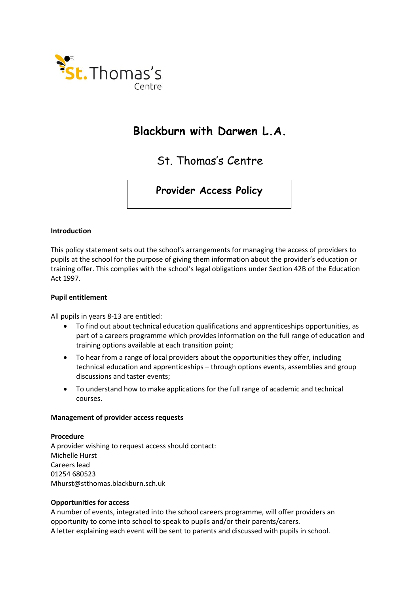

## **Blackburn with Darwen L.A.**

St. Thomas's Centre

**Provider Access Policy**

### **Introduction**

This policy statement sets out the school's arrangements for managing the access of providers to pupils at the school for the purpose of giving them information about the provider's education or training offer. This complies with the school's legal obligations under Section 42B of the Education Act 1997.

### **Pupil entitlement**

All pupils in years 8-13 are entitled:

- To find out about technical education qualifications and apprenticeships opportunities, as part of a careers programme which provides information on the full range of education and training options available at each transition point;
- To hear from a range of local providers about the opportunities they offer, including technical education and apprenticeships – through options events, assemblies and group discussions and taster events;
- To understand how to make applications for the full range of academic and technical courses.

### **Management of provider access requests**

### **Procedure**

A provider wishing to request access should contact: Michelle Hurst Careers lead 01254 680523 Mhurst@stthomas.blackburn.sch.uk

### **Opportunities for access**

A number of events, integrated into the school careers programme, will offer providers an opportunity to come into school to speak to pupils and/or their parents/carers. A letter explaining each event will be sent to parents and discussed with pupils in school.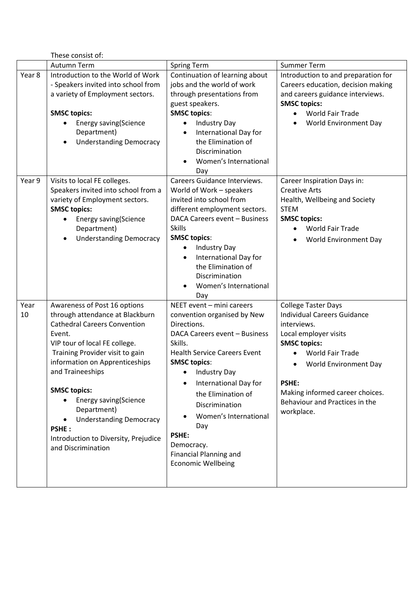These consist of:

|            | יוח זכונווואז בכבוו ו<br>Autumn Term                                                                                                                                                                                                                                                                                                                                                                                                   | <b>Spring Term</b>                                                                                                                                                                                                                                                                                                                                                                               | <b>Summer Term</b>                                                                                                                                                                                                                                                                     |
|------------|----------------------------------------------------------------------------------------------------------------------------------------------------------------------------------------------------------------------------------------------------------------------------------------------------------------------------------------------------------------------------------------------------------------------------------------|--------------------------------------------------------------------------------------------------------------------------------------------------------------------------------------------------------------------------------------------------------------------------------------------------------------------------------------------------------------------------------------------------|----------------------------------------------------------------------------------------------------------------------------------------------------------------------------------------------------------------------------------------------------------------------------------------|
| Year 8     | Introduction to the World of Work<br>- Speakers invited into school from<br>a variety of Employment sectors.<br><b>SMSC topics:</b><br><b>Energy saving(Science</b><br>$\bullet$<br>Department)<br><b>Understanding Democracy</b><br>$\bullet$                                                                                                                                                                                         | Continuation of learning about<br>jobs and the world of work<br>through presentations from<br>guest speakers.<br><b>SMSC topics:</b><br>Industry Day<br>$\bullet$<br>International Day for<br>the Elimination of<br>Discrimination<br>Women's International<br>Day                                                                                                                               | Introduction to and preparation for<br>Careers education, decision making<br>and careers guidance interviews.<br><b>SMSC topics:</b><br><b>World Fair Trade</b><br>World Environment Day                                                                                               |
| Year 9     | Visits to local FE colleges.<br>Speakers invited into school from a<br>variety of Employment sectors.<br><b>SMSC topics:</b><br><b>Energy saving(Science</b><br>$\bullet$<br>Department)<br><b>Understanding Democracy</b><br>$\bullet$                                                                                                                                                                                                | <b>Careers Guidance Interviews.</b><br>World of Work - speakers<br>invited into school from<br>different employment sectors.<br>DACA Careers event - Business<br><b>Skills</b><br><b>SMSC topics:</b><br>Industry Day<br>International Day for<br>$\bullet$<br>the Elimination of<br>Discrimination<br>Women's International<br>Day                                                              | Career Inspiration Days in:<br><b>Creative Arts</b><br>Health, Wellbeing and Society<br><b>STEM</b><br><b>SMSC topics:</b><br><b>World Fair Trade</b><br>World Environment Day                                                                                                         |
| Year<br>10 | Awareness of Post 16 options<br>through attendance at Blackburn<br><b>Cathedral Careers Convention</b><br>Event.<br>VIP tour of local FE college.<br>Training Provider visit to gain<br>information on Apprenticeships<br>and Traineeships<br><b>SMSC topics:</b><br><b>Energy saving (Science</b><br>٠<br>Department)<br><b>Understanding Democracy</b><br><b>PSHE:</b><br>Introduction to Diversity, Prejudice<br>and Discrimination | NEET event - mini careers<br>convention organised by New<br>Directions.<br>DACA Careers event - Business<br>Skills.<br><b>Health Service Careers Event</b><br><b>SMSC topics:</b><br>• Industry Day<br>International Day for<br>the Elimination of<br>Discrimination<br>Women's International<br>Day<br><b>PSHE:</b><br>Democracy.<br><b>Financial Planning and</b><br><b>Economic Wellbeing</b> | <b>College Taster Days</b><br><b>Individual Careers Guidance</b><br>interviews.<br>Local employer visits<br><b>SMSC topics:</b><br>World Fair Trade<br><b>World Environment Day</b><br><b>PSHE:</b><br>Making informed career choices.<br>Behaviour and Practices in the<br>workplace. |